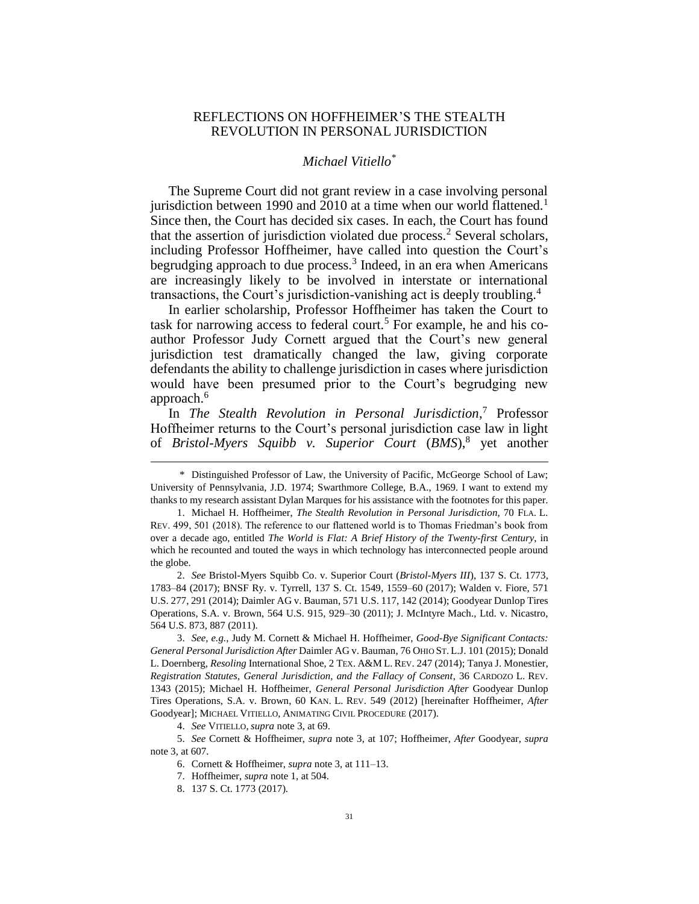# REFLECTIONS ON HOFFHEIMER'S THE STEALTH REVOLUTION IN PERSONAL JURISDICTION

### <span id="page-0-1"></span><span id="page-0-0"></span>*Michael Vitiello\**

The Supreme Court did not grant review in a case involving personal jurisdiction between 1990 and 2010 at a time when our world flattened.<sup>1</sup> Since then, the Court has decided six cases. In each, the Court has found that the assertion of jurisdiction violated due process.<sup>2</sup> Several scholars, including Professor Hoffheimer, have called into question the Court's begrudging approach to due process.<sup>3</sup> Indeed, in an era when Americans are increasingly likely to be involved in interstate or international transactions, the Court's jurisdiction-vanishing act is deeply troubling.<sup>4</sup>

In earlier scholarship, Professor Hoffheimer has taken the Court to task for narrowing access to federal court.<sup>5</sup> For example, he and his coauthor Professor Judy Cornett argued that the Court's new general jurisdiction test dramatically changed the law, giving corporate defendants the ability to challenge jurisdiction in cases where jurisdiction would have been presumed prior to the Court's begrudging new approach.<sup>6</sup>

In *The Stealth Revolution in Personal Jurisdiction*, <sup>7</sup> Professor Hoffheimer returns to the Court's personal jurisdiction case law in light of *Bristol-Myers Squibb v. Superior Court* (*BMS*), 8 yet another

3. *See, e.g.*, Judy M. Cornett & Michael H. Hoffheimer, *Good-Bye Significant Contacts: General Personal Jurisdiction After* Daimler AG v. Bauman, 76 OHIO ST. L.J. 101 (2015); Donald L. Doernberg, *Resoling* International Shoe, 2 TEX. A&M L. REV. 247 (2014); Tanya J. Monestier, *Registration Statutes, General Jurisdiction, and the Fallacy of Consent*, 36 CARDOZO L. REV. 1343 (2015); Michael H. Hoffheimer, *General Personal Jurisdiction After* Goodyear Dunlop Tires Operations, S.A. v. Brown, 60 KAN. L. REV. 549 (2012) [hereinafter Hoffheimer, *After* Goodyear]; MICHAEL VITIELLO, ANIMATING CIVIL PROCEDURE (2017).

4. *See* VITIELLO, *supra* not[e 3,](#page-0-0) at 69.

5. *See* Cornett & Hoffheimer, *supra* note [3,](#page-0-0) at 107; Hoffheimer, *After* Goodyear, *supra* not[e 3,](#page-0-0) at 607.

6. Cornett & Hoffheimer, *supra* not[e 3,](#page-0-0) at 111–13.

<sup>\*</sup> Distinguished Professor of Law, the University of Pacific, McGeorge School of Law; University of Pennsylvania, J.D. 1974; Swarthmore College, B.A., 1969. I want to extend my thanks to my research assistant Dylan Marques for his assistance with the footnotes for this paper.

<sup>1.</sup> Michael H. Hoffheimer, *The Stealth Revolution in Personal Jurisdiction*, 70 FLA. L. REV. 499, 501 (2018). The reference to our flattened world is to Thomas Friedman's book from over a decade ago, entitled *The World is Flat: A Brief History of the Twenty-first Century*, in which he recounted and touted the ways in which technology has interconnected people around the globe.

<sup>2.</sup> *See* Bristol-Myers Squibb Co. v. Superior Court (*Bristol-Myers III*), 137 S. Ct. 1773, 1783–84 (2017); BNSF Ry. v. Tyrrell, 137 S. Ct. 1549, 1559–60 (2017); Walden v. Fiore, 571 U.S. 277, 291 (2014); Daimler AG v. Bauman, 571 U.S. 117, 142 (2014); Goodyear Dunlop Tires Operations, S.A. v. Brown, 564 U.S. 915, 929–30 (2011); J. McIntyre Mach., Ltd. v. Nicastro, 564 U.S. 873, 887 (2011).

<sup>7.</sup> Hoffheimer, *supra* not[e 1,](#page-0-1) at 504.

<sup>8.</sup> 137 S. Ct. 1773 (2017).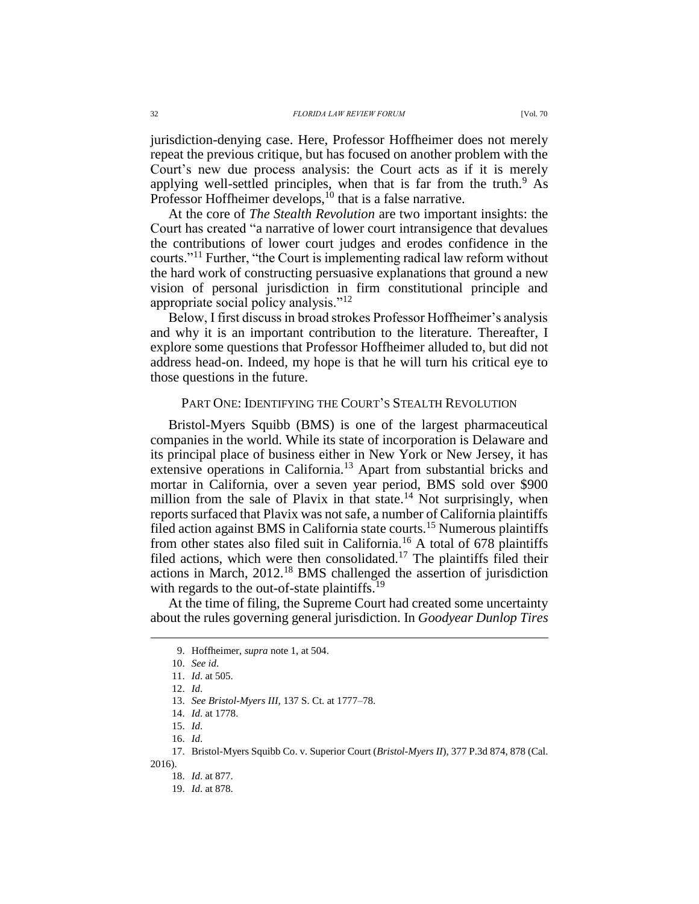jurisdiction-denying case. Here, Professor Hoffheimer does not merely repeat the previous critique, but has focused on another problem with the Court's new due process analysis: the Court acts as if it is merely applying well-settled principles, when that is far from the truth. $9$  As Professor Hoffheimer develops,<sup>10</sup> that is a false narrative.

At the core of *The Stealth Revolution* are two important insights: the Court has created "a narrative of lower court intransigence that devalues the contributions of lower court judges and erodes confidence in the courts."<sup>11</sup> Further, "the Court is implementing radical law reform without the hard work of constructing persuasive explanations that ground a new vision of personal jurisdiction in firm constitutional principle and appropriate social policy analysis."<sup>12</sup>

Below, I first discuss in broad strokes Professor Hoffheimer's analysis and why it is an important contribution to the literature. Thereafter, I explore some questions that Professor Hoffheimer alluded to, but did not address head-on. Indeed, my hope is that he will turn his critical eye to those questions in the future.

### PART ONE: IDENTIFYING THE COURT'S STEALTH REVOLUTION

Bristol-Myers Squibb (BMS) is one of the largest pharmaceutical companies in the world. While its state of incorporation is Delaware and its principal place of business either in New York or New Jersey, it has extensive operations in California.<sup>13</sup> Apart from substantial bricks and mortar in California, over a seven year period, BMS sold over \$900 million from the sale of Plavix in that state.<sup>14</sup> Not surprisingly, when reports surfaced that Plavix was not safe, a number of California plaintiffs filed action against BMS in California state courts.<sup>15</sup> Numerous plaintiffs from other states also filed suit in California.<sup>16</sup> A total of 678 plaintiffs filed actions, which were then consolidated.<sup>17</sup> The plaintiffs filed their actions in March, 2012.<sup>18</sup> BMS challenged the assertion of jurisdiction with regards to the out-of-state plaintiffs.<sup>19</sup>

At the time of filing, the Supreme Court had created some uncertainty about the rules governing general jurisdiction. In *Goodyear Dunlop Tires* 

2016).

<sup>9.</sup> Hoffheimer, *supra* not[e 1,](#page-0-1) at 504.

<sup>10.</sup> *See id*.

<sup>11.</sup> *Id*. at 505.

<sup>12.</sup> *Id*.

<sup>13.</sup> *See Bristol-Myers III*, 137 S. Ct. at 1777–78.

<sup>14.</sup> *Id*. at 1778.

<sup>15.</sup> *Id*.

<sup>16.</sup> *Id*.

<sup>17.</sup> Bristol-Myers Squibb Co. v. Superior Court (*Bristol-Myers II*), 377 P.3d 874, 878 (Cal.

<sup>18.</sup> *Id*. at 877.

<sup>19.</sup> *Id*. at 878.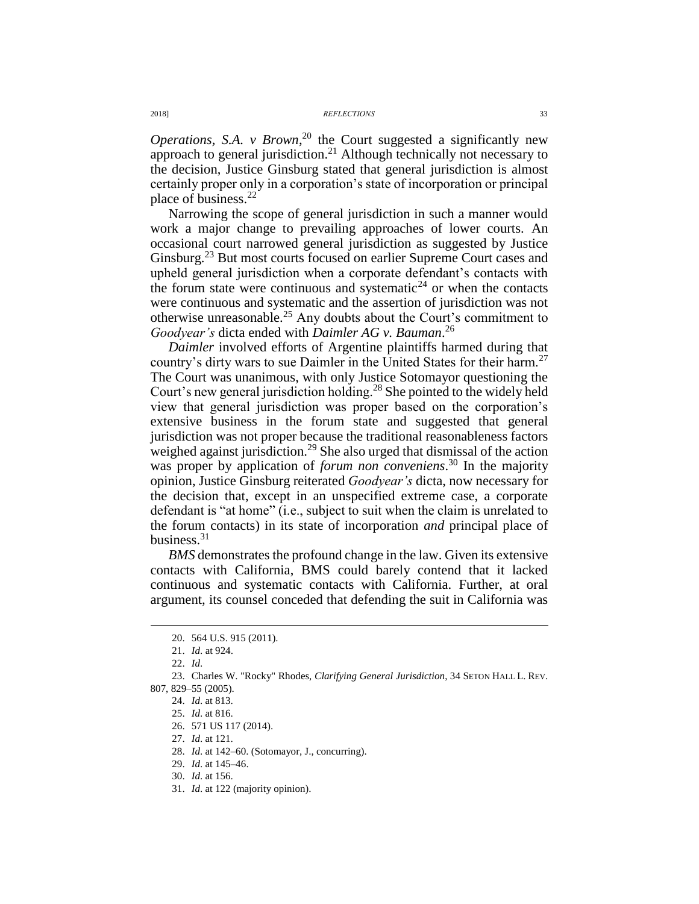*Operations, S.A. v Brown*<sup>20</sup> the Court suggested a significantly new approach to general jurisdiction.<sup>21</sup> Although technically not necessary to the decision, Justice Ginsburg stated that general jurisdiction is almost certainly proper only in a corporation's state of incorporation or principal place of business.<sup>22</sup>

Narrowing the scope of general jurisdiction in such a manner would work a major change to prevailing approaches of lower courts. An occasional court narrowed general jurisdiction as suggested by Justice Ginsburg.<sup>23</sup> But most courts focused on earlier Supreme Court cases and upheld general jurisdiction when a corporate defendant's contacts with the forum state were continuous and systematic<sup>24</sup> or when the contacts were continuous and systematic and the assertion of jurisdiction was not otherwise unreasonable.<sup>25</sup> Any doubts about the Court's commitment to *Goodyear's* dicta ended with *Daimler AG v. Bauman*. 26

*Daimler* involved efforts of Argentine plaintiffs harmed during that country's dirty wars to sue Daimler in the United States for their harm.<sup>27</sup> The Court was unanimous, with only Justice Sotomayor questioning the Court's new general jurisdiction holding.<sup>28</sup> She pointed to the widely held view that general jurisdiction was proper based on the corporation's extensive business in the forum state and suggested that general jurisdiction was not proper because the traditional reasonableness factors weighed against jurisdiction.<sup>29</sup> She also urged that dismissal of the action was proper by application of *forum non conveniens*. <sup>30</sup> In the majority opinion, Justice Ginsburg reiterated *Goodyear's* dicta, now necessary for the decision that, except in an unspecified extreme case, a corporate defendant is "at home" (i.e., subject to suit when the claim is unrelated to the forum contacts) in its state of incorporation *and* principal place of business.<sup>31</sup>

*BMS* demonstrates the profound change in the law. Given its extensive contacts with California, BMS could barely contend that it lacked continuous and systematic contacts with California. Further, at oral argument, its counsel conceded that defending the suit in California was

<sup>20.</sup> 564 U.S. 915 (2011).

<sup>21.</sup> *Id*. at 924.

<sup>22.</sup> *Id*.

<sup>23.</sup> Charles W. "Rocky" Rhodes, *Clarifying General Jurisdiction*, 34 SETON HALL L. REV. 807, 829–55 (2005).

<sup>24.</sup> *Id*. at 813.

<sup>25.</sup> *Id*. at 816.

<sup>26.</sup> 571 US 117 (2014).

<sup>27.</sup> *Id*. at 121.

<sup>28.</sup> *Id*. at 142–60. (Sotomayor, J., concurring).

<sup>29.</sup> *Id*. at 145–46.

<sup>30.</sup> *Id*. at 156.

<sup>31.</sup> *Id*. at 122 (majority opinion).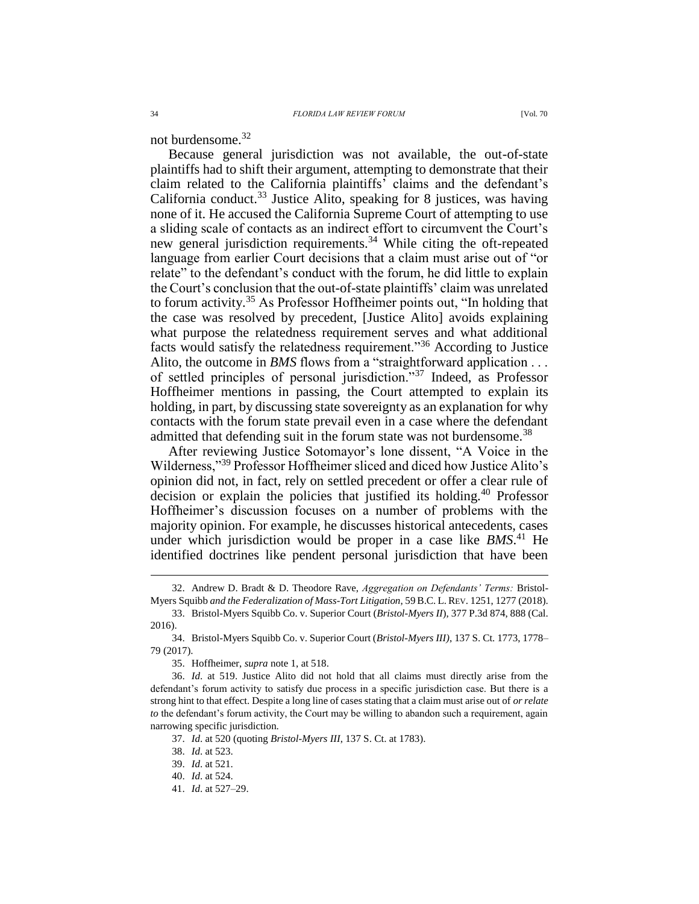<span id="page-3-0"></span>not burdensome.<sup>32</sup>

Because general jurisdiction was not available, the out-of-state plaintiffs had to shift their argument, attempting to demonstrate that their claim related to the California plaintiffs' claims and the defendant's California conduct. $33$  Justice Alito, speaking for 8 justices, was having none of it. He accused the California Supreme Court of attempting to use a sliding scale of contacts as an indirect effort to circumvent the Court's new general jurisdiction requirements.<sup>34</sup> While citing the oft-repeated language from earlier Court decisions that a claim must arise out of "or relate" to the defendant's conduct with the forum, he did little to explain the Court's conclusion that the out-of-state plaintiffs' claim was unrelated to forum activity.<sup>35</sup> As Professor Hoffheimer points out, "In holding that the case was resolved by precedent, [Justice Alito] avoids explaining what purpose the relatedness requirement serves and what additional facts would satisfy the relatedness requirement."<sup>36</sup> According to Justice Alito, the outcome in *BMS* flows from a "straightforward application . . . of settled principles of personal jurisdiction."<sup>37</sup> Indeed, as Professor Hoffheimer mentions in passing, the Court attempted to explain its holding, in part, by discussing state sovereignty as an explanation for why contacts with the forum state prevail even in a case where the defendant admitted that defending suit in the forum state was not burdensome.<sup>38</sup>

After reviewing Justice Sotomayor's lone dissent, "A Voice in the Wilderness,"<sup>39</sup> Professor Hoffheimer sliced and diced how Justice Alito's opinion did not, in fact, rely on settled precedent or offer a clear rule of decision or explain the policies that justified its holding.<sup>40</sup> Professor Hoffheimer's discussion focuses on a number of problems with the majority opinion. For example, he discusses historical antecedents, cases under which jurisdiction would be proper in a case like *BMS*. <sup>41</sup> He identified doctrines like pendent personal jurisdiction that have been

<sup>32.</sup> Andrew D. Bradt & D. Theodore Rave, *Aggregation on Defendants' Terms:* Bristol-Myers Squibb *and the Federalization of Mass-Tort Litigation*, 59B.C. L. REV. 1251, 1277 (2018).

<sup>33.</sup> Bristol-Myers Squibb Co. v. Superior Court (*Bristol-Myers II*), 377 P.3d 874, 888 (Cal. 2016).

<sup>34.</sup> Bristol-Myers Squibb Co. v. Superior Court (*Bristol-Myers III)*, 137 S. Ct. 1773, 1778– 79 (2017).

<sup>35.</sup> Hoffheimer, *supra* not[e 1,](#page-0-1) at 518.

<sup>36.</sup> *Id*. at 519. Justice Alito did not hold that all claims must directly arise from the defendant's forum activity to satisfy due process in a specific jurisdiction case. But there is a strong hint to that effect. Despite a long line of cases stating that a claim must arise out of *or relate to* the defendant's forum activity, the Court may be willing to abandon such a requirement, again narrowing specific jurisdiction.

<sup>37.</sup> *Id*. at 520 (quoting *Bristol-Myers III*, 137 S. Ct. at 1783).

<sup>38.</sup> *Id*. at 523.

<sup>39.</sup> *Id*. at 521.

<sup>40.</sup> *Id*. at 524.

<sup>41.</sup> *Id*. at 527–29.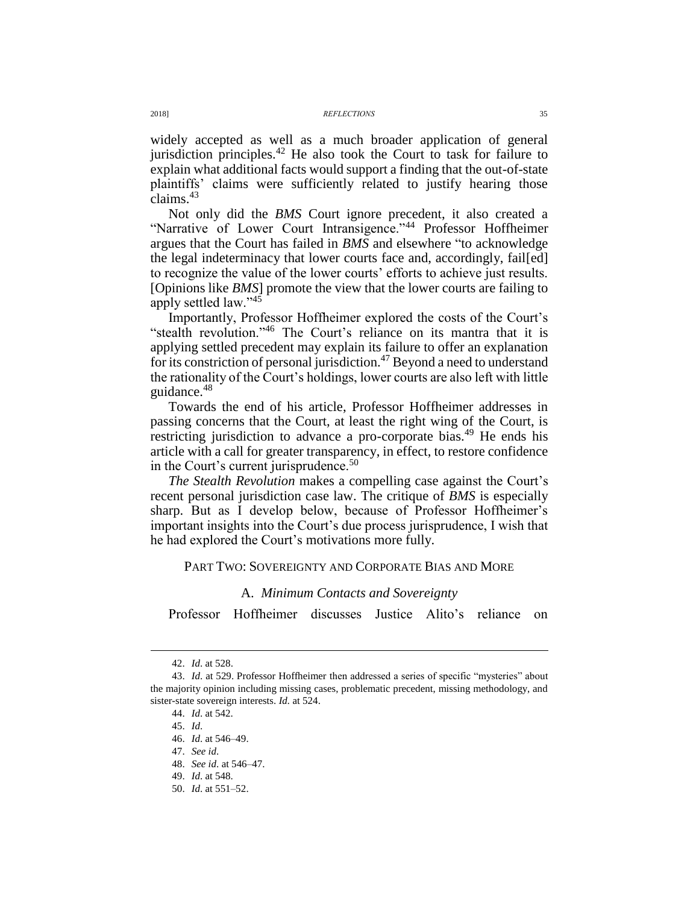#### 2018] *REFLECTIONS* 35

widely accepted as well as a much broader application of general jurisdiction principles. $42$  He also took the Court to task for failure to explain what additional facts would support a finding that the out-of-state plaintiffs' claims were sufficiently related to justify hearing those claims.<sup>43</sup>

Not only did the *BMS* Court ignore precedent, it also created a "Narrative of Lower Court Intransigence."<sup>44</sup> Professor Hoffheimer argues that the Court has failed in *BMS* and elsewhere "to acknowledge the legal indeterminacy that lower courts face and, accordingly, fail[ed] to recognize the value of the lower courts' efforts to achieve just results. [Opinions like *BMS*] promote the view that the lower courts are failing to apply settled law."<sup>45</sup>

Importantly, Professor Hoffheimer explored the costs of the Court's "stealth revolution."<sup>46</sup> The Court's reliance on its mantra that it is applying settled precedent may explain its failure to offer an explanation for its constriction of personal jurisdiction.<sup>47</sup> Beyond a need to understand the rationality of the Court's holdings, lower courts are also left with little guidance.<sup>48</sup>

Towards the end of his article, Professor Hoffheimer addresses in passing concerns that the Court, at least the right wing of the Court, is restricting jurisdiction to advance a pro-corporate bias.<sup>49</sup> He ends his article with a call for greater transparency, in effect, to restore confidence in the Court's current jurisprudence.<sup>50</sup>

*The Stealth Revolution* makes a compelling case against the Court's recent personal jurisdiction case law. The critique of *BMS* is especially sharp. But as I develop below, because of Professor Hoffheimer's important insights into the Court's due process jurisprudence, I wish that he had explored the Court's motivations more fully.

### PART TWO: SOVEREIGNTY AND CORPORATE BIAS AND MORE

# A. *Minimum Contacts and Sovereignty*

Professor Hoffheimer discusses Justice Alito's reliance on

<sup>42.</sup> *Id*. at 528.

<sup>43.</sup> *Id*. at 529. Professor Hoffheimer then addressed a series of specific "mysteries" about the majority opinion including missing cases, problematic precedent, missing methodology, and sister-state sovereign interests. *Id.* at 524.

<sup>44.</sup> *Id*. at 542.

<sup>45.</sup> *Id*.

<sup>46.</sup> *Id*. at 546–49.

<sup>47.</sup> *See id*.

<sup>48.</sup> *See id*. at 546–47.

<sup>49.</sup> *Id*. at 548.

<sup>50.</sup> *Id*. at 551–52.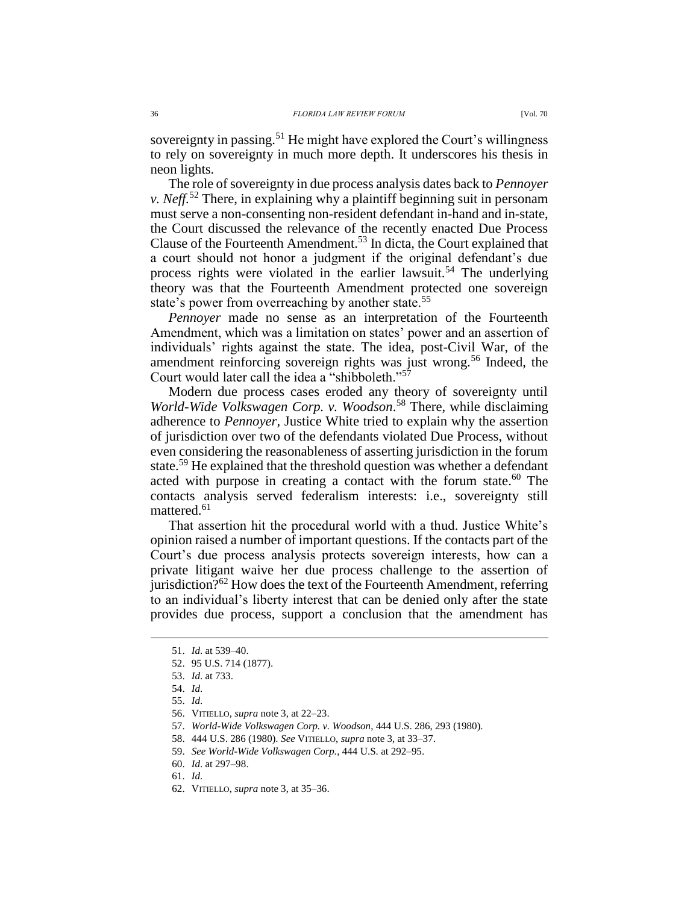sovereignty in passing.<sup>51</sup> He might have explored the Court's willingness to rely on sovereignty in much more depth. It underscores his thesis in neon lights.

The role of sovereignty in due process analysis dates back to *Pennoyer v. Neff.*<sup>52</sup> There, in explaining why a plaintiff beginning suit in personam must serve a non-consenting non-resident defendant in-hand and in-state, the Court discussed the relevance of the recently enacted Due Process Clause of the Fourteenth Amendment.<sup>53</sup> In dicta, the Court explained that a court should not honor a judgment if the original defendant's due process rights were violated in the earlier lawsuit.<sup>54</sup> The underlying theory was that the Fourteenth Amendment protected one sovereign state's power from overreaching by another state.<sup>55</sup>

*Pennoyer* made no sense as an interpretation of the Fourteenth Amendment, which was a limitation on states' power and an assertion of individuals' rights against the state. The idea, post-Civil War, of the amendment reinforcing sovereign rights was just wrong.<sup>56</sup> Indeed, the Court would later call the idea a "shibboleth."<sup>57</sup>

Modern due process cases eroded any theory of sovereignty until *World-Wide Volkswagen Corp. v. Woodson*. <sup>58</sup> There, while disclaiming adherence to *Pennoyer,* Justice White tried to explain why the assertion of jurisdiction over two of the defendants violated Due Process, without even considering the reasonableness of asserting jurisdiction in the forum state.<sup>59</sup> He explained that the threshold question was whether a defendant acted with purpose in creating a contact with the forum state. <sup>60</sup> The contacts analysis served federalism interests: i.e., sovereignty still mattered.<sup>61</sup>

That assertion hit the procedural world with a thud. Justice White's opinion raised a number of important questions. If the contacts part of the Court's due process analysis protects sovereign interests, how can a private litigant waive her due process challenge to the assertion of jurisdiction?<sup>62</sup> How does the text of the Fourteenth Amendment, referring to an individual's liberty interest that can be denied only after the state provides due process, support a conclusion that the amendment has

<sup>51.</sup> *Id*. at 539–40.

<sup>52.</sup> 95 U.S. 714 (1877).

<sup>53.</sup> *Id*. at 733.

<sup>54.</sup> *Id*.

<sup>55.</sup> *Id*.

<sup>56.</sup> VITIELLO, *supra* not[e 3,](#page-0-0) at 22–23.

<sup>57.</sup> *World-Wide Volkswagen Corp. v. Woodson*, 444 U.S. 286, 293 (1980).

<sup>58.</sup> 444 U.S. 286 (1980). *See* VITIELLO, *supra* not[e 3,](#page-0-0) at 33–37.

<sup>59.</sup> *See World-Wide Volkswagen Corp.*, 444 U.S. at 292–95.

<sup>60.</sup> *Id*. at 297–98.

<sup>61.</sup> *Id*.

<sup>62.</sup> VITIELLO, *supra* not[e 3,](#page-0-0) at 35–36.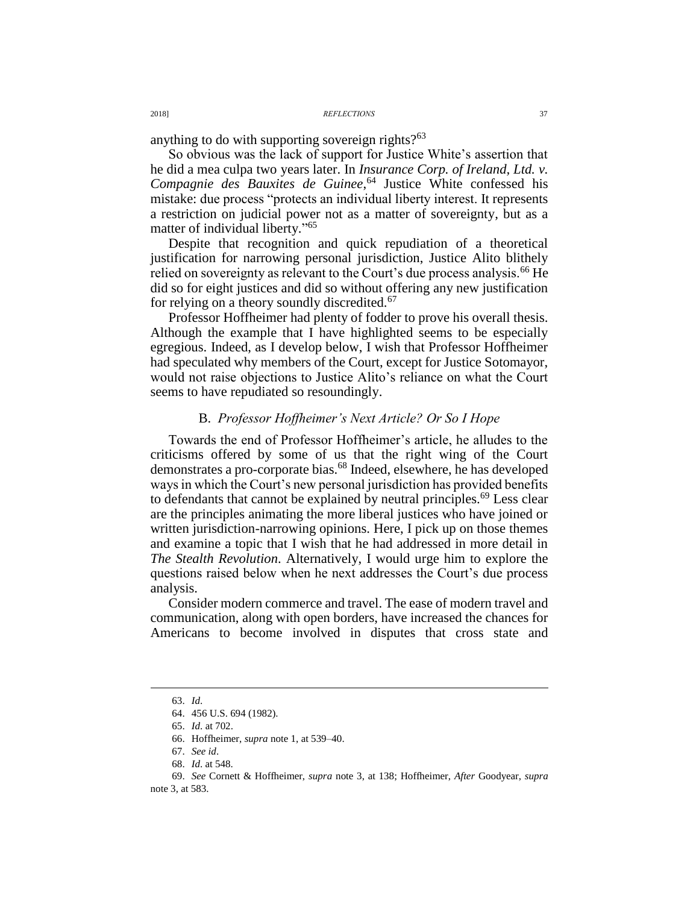#### 2018] *REFLECTIONS* 37

anything to do with supporting sovereign rights? $63$ 

So obvious was the lack of support for Justice White's assertion that he did a mea culpa two years later. In *Insurance Corp. of Ireland, Ltd. v. Compagnie des Bauxites de Guinee*, <sup>64</sup> Justice White confessed his mistake: due process "protects an individual liberty interest. It represents a restriction on judicial power not as a matter of sovereignty, but as a matter of individual liberty." 65

Despite that recognition and quick repudiation of a theoretical justification for narrowing personal jurisdiction, Justice Alito blithely relied on sovereignty as relevant to the Court's due process analysis.<sup>66</sup> He did so for eight justices and did so without offering any new justification for relying on a theory soundly discredited.<sup>67</sup>

Professor Hoffheimer had plenty of fodder to prove his overall thesis. Although the example that I have highlighted seems to be especially egregious. Indeed, as I develop below, I wish that Professor Hoffheimer had speculated why members of the Court, except for Justice Sotomayor, would not raise objections to Justice Alito's reliance on what the Court seems to have repudiated so resoundingly.

# B. *Professor Hoffheimer's Next Article? Or So I Hope*

Towards the end of Professor Hoffheimer's article, he alludes to the criticisms offered by some of us that the right wing of the Court demonstrates a pro-corporate bias.<sup>68</sup> Indeed, elsewhere, he has developed ways in which the Court's new personal jurisdiction has provided benefits to defendants that cannot be explained by neutral principles.<sup>69</sup> Less clear are the principles animating the more liberal justices who have joined or written jurisdiction-narrowing opinions. Here, I pick up on those themes and examine a topic that I wish that he had addressed in more detail in *The Stealth Revolution*. Alternatively, I would urge him to explore the questions raised below when he next addresses the Court's due process analysis.

Consider modern commerce and travel. The ease of modern travel and communication, along with open borders, have increased the chances for Americans to become involved in disputes that cross state and

<sup>63.</sup> *Id*.

<sup>64.</sup> 456 U.S. 694 (1982).

<sup>65.</sup> *Id*. at 702.

<sup>66.</sup> Hoffheimer, *supra* not[e 1,](#page-0-1) at 539–40.

<sup>67.</sup> *See id*.

<sup>68.</sup> *Id*. at 548.

<sup>69.</sup> *See* Cornett & Hoffheimer, *supra* note [3,](#page-0-0) at 138; Hoffheimer, *After* Goodyear, *supra* not[e 3,](#page-0-0) at 583.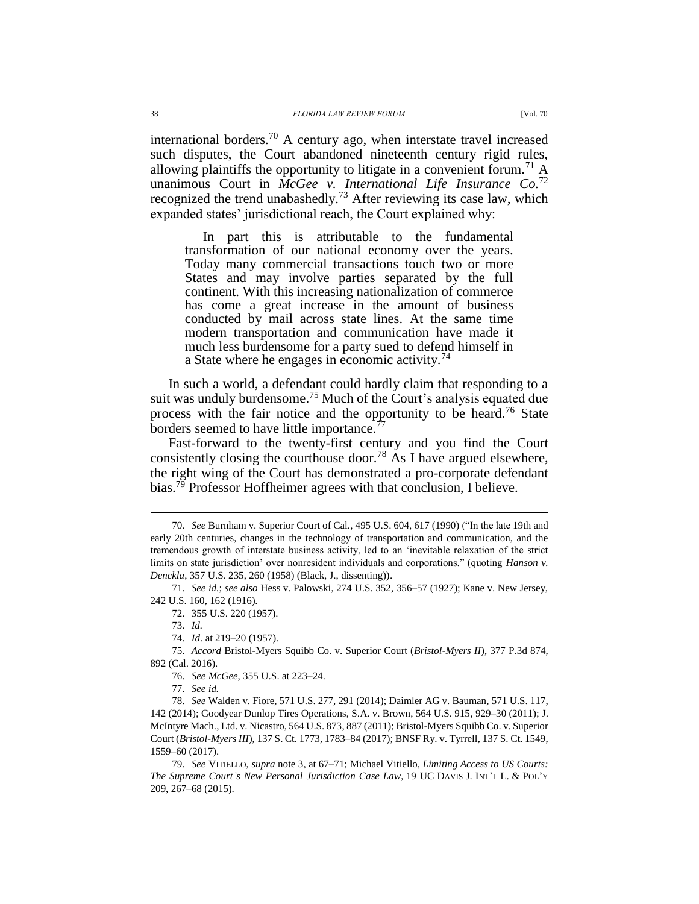international borders.<sup>70</sup> A century ago, when interstate travel increased such disputes, the Court abandoned nineteenth century rigid rules, allowing plaintiffs the opportunity to litigate in a convenient forum.<sup>71</sup> A unanimous Court in *McGee v. International Life Insurance Co.*<sup>72</sup> recognized the trend unabashedly.<sup>73</sup> After reviewing its case law, which expanded states' jurisdictional reach, the Court explained why:

In part this is attributable to the fundamental transformation of our national economy over the years. Today many commercial transactions touch two or more States and may involve parties separated by the full continent. With this increasing nationalization of commerce has come a great increase in the amount of business conducted by mail across state lines. At the same time modern transportation and communication have made it much less burdensome for a party sued to defend himself in a State where he engages in economic activity.<sup>74</sup>

In such a world, a defendant could hardly claim that responding to a suit was unduly burdensome.<sup>75</sup> Much of the Court's analysis equated due process with the fair notice and the opportunity to be heard.<sup>76</sup> State borders seemed to have little importance.<sup>77</sup>

Fast-forward to the twenty-first century and you find the Court consistently closing the courthouse door.<sup>78</sup> As I have argued elsewhere, the right wing of the Court has demonstrated a pro-corporate defendant bias.<sup>79</sup> Professor Hoffheimer agrees with that conclusion, I believe.

<sup>70.</sup> *See* Burnham v. Superior Court of Cal., 495 U.S. 604, 617 (1990) ("In the late 19th and early 20th centuries, changes in the technology of transportation and communication, and the tremendous growth of interstate business activity, led to an 'inevitable relaxation of the strict limits on state jurisdiction' over nonresident individuals and corporations." (quoting *Hanson v. Denckla*, 357 U.S. 235, 260 (1958) (Black, J., dissenting)).

<sup>71.</sup> *See id.*; *see also* Hess v. Palowski, 274 U.S. 352, 356–57 (1927); Kane v. New Jersey, 242 U.S. 160, 162 (1916).

<sup>72.</sup> 355 U.S. 220 (1957).

<sup>73.</sup> *Id.*

<sup>74.</sup> *Id*. at 219–20 (1957).

<sup>75.</sup> *Accord* Bristol-Myers Squibb Co. v. Superior Court (*Bristol-Myers II*), 377 P.3d 874, 892 (Cal. 2016).

<sup>76.</sup> *See McGee*, 355 U.S. at 223–24.

<sup>77.</sup> *See id.*

<sup>78.</sup> *See* Walden v. Fiore, 571 U.S. 277, 291 (2014); Daimler AG v. Bauman, 571 U.S. 117, 142 (2014); Goodyear Dunlop Tires Operations, S.A. v. Brown, 564 U.S. 915, 929–30 (2011); J. McIntyre Mach., Ltd. v. Nicastro, 564 U.S. 873, 887 (2011); Bristol-Myers Squibb Co. v. Superior Court (*Bristol-Myers III*), 137 S. Ct. 1773, 1783–84 (2017); BNSF Ry. v. Tyrrell, 137 S. Ct. 1549, 1559–60 (2017).

<sup>79.</sup> *See* VITIELLO, *supra* not[e 3,](#page-0-0) at 67–71; Michael Vitiello, *Limiting Access to US Courts: The Supreme Court's New Personal Jurisdiction Case Law*, 19 UC DAVIS J. INT'L L. & POL'Y 209, 267–68 (2015).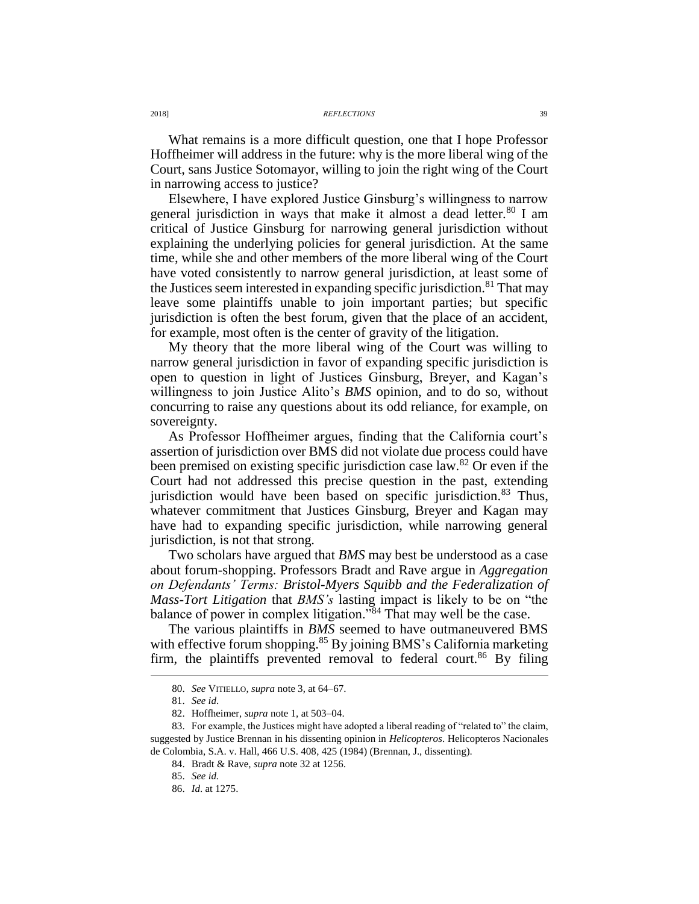2018] *REFLECTIONS* 39

What remains is a more difficult question, one that I hope Professor Hoffheimer will address in the future: why is the more liberal wing of the Court, sans Justice Sotomayor, willing to join the right wing of the Court in narrowing access to justice?

Elsewhere, I have explored Justice Ginsburg's willingness to narrow general jurisdiction in ways that make it almost a dead letter. $80$  I am critical of Justice Ginsburg for narrowing general jurisdiction without explaining the underlying policies for general jurisdiction. At the same time, while she and other members of the more liberal wing of the Court have voted consistently to narrow general jurisdiction, at least some of the Justices seem interested in expanding specific jurisdiction.<sup>81</sup> That may leave some plaintiffs unable to join important parties; but specific jurisdiction is often the best forum, given that the place of an accident, for example, most often is the center of gravity of the litigation.

My theory that the more liberal wing of the Court was willing to narrow general jurisdiction in favor of expanding specific jurisdiction is open to question in light of Justices Ginsburg, Breyer, and Kagan's willingness to join Justice Alito's *BMS* opinion, and to do so, without concurring to raise any questions about its odd reliance, for example, on sovereignty.

As Professor Hoffheimer argues, finding that the California court's assertion of jurisdiction over BMS did not violate due process could have been premised on existing specific jurisdiction case law.<sup>82</sup> Or even if the Court had not addressed this precise question in the past, extending jurisdiction would have been based on specific jurisdiction. $83$  Thus, whatever commitment that Justices Ginsburg, Breyer and Kagan may have had to expanding specific jurisdiction, while narrowing general jurisdiction, is not that strong.

Two scholars have argued that *BMS* may best be understood as a case about forum-shopping. Professors Bradt and Rave argue in *Aggregation on Defendants' Terms: Bristol-Myers Squibb and the Federalization of Mass-Tort Litigation* that *BMS's* lasting impact is likely to be on "the balance of power in complex litigation."<sup>84</sup> That may well be the case.

The various plaintiffs in *BMS* seemed to have outmaneuvered BMS with effective forum shopping.<sup>85</sup> By joining BMS's California marketing firm, the plaintiffs prevented removal to federal court.<sup>86</sup> By filing

<sup>80.</sup> *See* VITIELLO, *supra* note [3,](#page-0-0) at 64–67.

<sup>81.</sup> *See id*.

<sup>82.</sup> Hoffheimer, *supra* not[e 1,](#page-0-1) at 503–04.

<sup>83.</sup> For example, the Justices might have adopted a liberal reading of "related to" the claim, suggested by Justice Brennan in his dissenting opinion in *Helicopteros*. Helicopteros Nacionales de Colombia, S.A. v. Hall, 466 U.S. 408, 425 (1984) (Brennan, J., dissenting).

<sup>84.</sup> Bradt & Rave, *supra* not[e 32](#page-3-0) at 1256.

<sup>85.</sup> *See id.*

<sup>86.</sup> *Id*. at 1275.